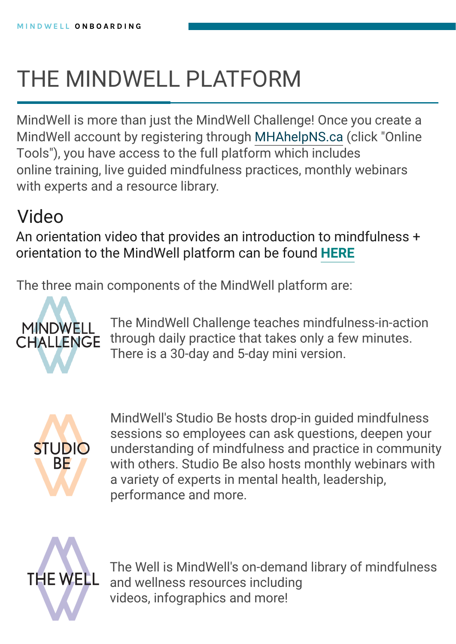# THE MINDWELL PLATFORM

The MindWell Challenge teaches mindfulness-in-action through daily practice that takes only a few minutes

#### **CHALLENGE** There is a 30-day and 5-day mini version.



MindWell's Studio Be hosts drop-in guided mindfulness sessions so employees can ask questions, deepen your understanding of mindfulness and practice in community with others. Studio Be also hosts monthly webinars with a variety of experts in mental health, leadership, performance and more.

**THE WELL** 

The Well is MindWell's on-demand library of mindfulness and wellness resources including videos, infographics and more!

MindWell is more than just the MindWell Challenge! Once you create a MindWell account by registering through [MHAhelpNS.ca](www.MHAhelpNS.ca) (click "Online Tools"), you have access to the full platform which includes online training, live guided mindfulness practices, monthly webinars with experts and a resource library.

### Video

An orientation video that provides an introduction to mindfulness + orientation to the MindWell platform can be found **[HERE](https://vimeo.com/mindwellu/download/204061472/d3cfbb08ed)**

The three main components of the MindWell platform are: